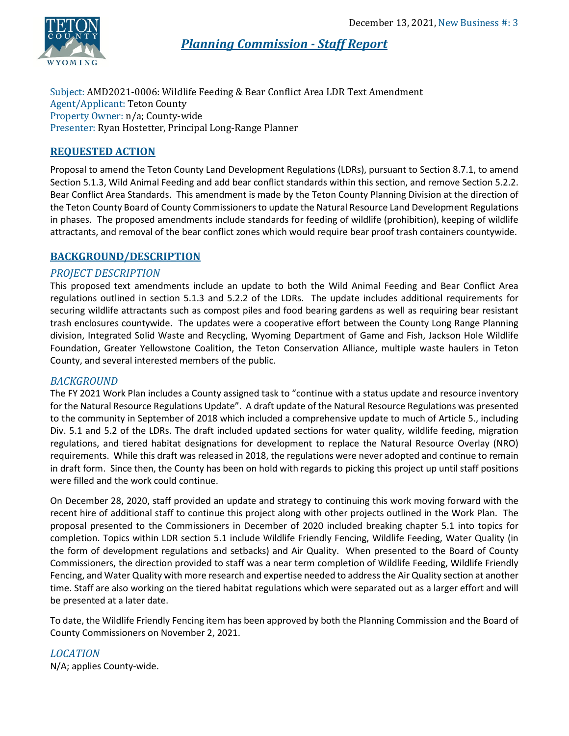

*Planning Commission - Staff Report*

Subject: AMD2021-0006: Wildlife Feeding & Bear Conflict Area LDR Text Amendment Agent/Applicant: Teton County Property Owner: n/a; County-wide Presenter: Ryan Hostetter, Principal Long-Range Planner

# **REQUESTED ACTION**

Proposal to amend the Teton County Land Development Regulations (LDRs), pursuant to Section 8.7.1, to amend Section 5.1.3, Wild Animal Feeding and add bear conflict standards within this section, and remove Section 5.2.2. Bear Conflict Area Standards. This amendment is made by the Teton County Planning Division at the direction of the Teton County Board of County Commissioners to update the Natural Resource Land Development Regulations in phases. The proposed amendments include standards for feeding of wildlife (prohibition), keeping of wildlife attractants, and removal of the bear conflict zones which would require bear proof trash containers countywide.

# **BACKGROUND/DESCRIPTION**

## *PROJECT DESCRIPTION*

This proposed text amendments include an update to both the Wild Animal Feeding and Bear Conflict Area regulations outlined in section 5.1.3 and 5.2.2 of the LDRs. The update includes additional requirements for securing wildlife attractants such as compost piles and food bearing gardens as well as requiring bear resistant trash enclosures countywide. The updates were a cooperative effort between the County Long Range Planning division, Integrated Solid Waste and Recycling, Wyoming Department of Game and Fish, Jackson Hole Wildlife Foundation, Greater Yellowstone Coalition, the Teton Conservation Alliance, multiple waste haulers in Teton County, and several interested members of the public.

## *BACKGROUND*

The FY 2021 Work Plan includes a County assigned task to "continue with a status update and resource inventory for the Natural Resource Regulations Update". A draft update of the Natural Resource Regulations was presented to the community in September of 2018 which included a comprehensive update to much of Article 5., including Div. 5.1 and 5.2 of the LDRs. The draft included updated sections for water quality, wildlife feeding, migration regulations, and tiered habitat designations for development to replace the Natural Resource Overlay (NRO) requirements. While this draft was released in 2018, the regulations were never adopted and continue to remain in draft form. Since then, the County has been on hold with regards to picking this project up until staff positions were filled and the work could continue.

On December 28, 2020, staff provided an update and strategy to continuing this work moving forward with the recent hire of additional staff to continue this project along with other projects outlined in the Work Plan. The proposal presented to the Commissioners in December of 2020 included breaking chapter 5.1 into topics for completion. Topics within LDR section 5.1 include Wildlife Friendly Fencing, Wildlife Feeding, Water Quality (in the form of development regulations and setbacks) and Air Quality. When presented to the Board of County Commissioners, the direction provided to staff was a near term completion of Wildlife Feeding, Wildlife Friendly Fencing, and Water Quality with more research and expertise needed to address the Air Quality section at another time. Staff are also working on the tiered habitat regulations which were separated out as a larger effort and will be presented at a later date.

To date, the Wildlife Friendly Fencing item has been approved by both the Planning Commission and the Board of County Commissioners on November 2, 2021.

*LOCATION* N/A; applies County-wide.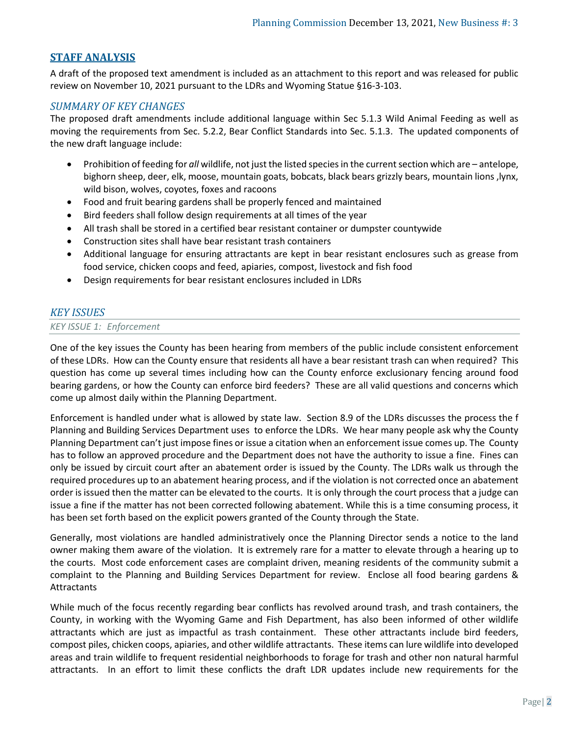## **STAFF ANALYSIS**

A draft of the proposed text amendment is included as an attachment to this report and was released for public review on November 10, 2021 pursuant to the LDRs and Wyoming Statue §16-3-103.

#### *SUMMARY OF KEY CHANGES*

The proposed draft amendments include additional language within Sec 5.1.3 Wild Animal Feeding as well as moving the requirements from Sec. 5.2.2, Bear Conflict Standards into Sec. 5.1.3. The updated components of the new draft language include:

- Prohibition of feeding for *all* wildlife, not just the listed speciesin the currentsection which are antelope, bighorn sheep, deer, elk, moose, mountain goats, bobcats, black bears grizzly bears, mountain lions ,lynx, wild bison, wolves, coyotes, foxes and racoons
- Food and fruit bearing gardens shall be properly fenced and maintained
- Bird feeders shall follow design requirements at all times of the year
- All trash shall be stored in a certified bear resistant container or dumpster countywide
- Construction sites shall have bear resistant trash containers
- Additional language for ensuring attractants are kept in bear resistant enclosures such as grease from food service, chicken coops and feed, apiaries, compost, livestock and fish food
- Design requirements for bear resistant enclosures included in LDRs

## *KEY ISSUES*

#### *KEY ISSUE 1: Enforcement*

One of the key issues the County has been hearing from members of the public include consistent enforcement of these LDRs. How can the County ensure that residents all have a bear resistant trash can when required? This question has come up several times including how can the County enforce exclusionary fencing around food bearing gardens, or how the County can enforce bird feeders? These are all valid questions and concerns which come up almost daily within the Planning Department.

Enforcement is handled under what is allowed by state law. Section 8.9 of the LDRs discusses the process the f Planning and Building Services Department uses to enforce the LDRs. We hear many people ask why the County Planning Department can't just impose fines or issue a citation when an enforcement issue comes up. The County has to follow an approved procedure and the Department does not have the authority to issue a fine. Fines can only be issued by circuit court after an abatement order is issued by the County. The LDRs walk us through the required procedures up to an abatement hearing process, and if the violation is not corrected once an abatement order is issued then the matter can be elevated to the courts. It is only through the court process that a judge can issue a fine if the matter has not been corrected following abatement. While this is a time consuming process, it has been set forth based on the explicit powers granted of the County through the State.

Generally, most violations are handled administratively once the Planning Director sends a notice to the land owner making them aware of the violation. It is extremely rare for a matter to elevate through a hearing up to the courts. Most code enforcement cases are complaint driven, meaning residents of the community submit a complaint to the Planning and Building Services Department for review. Enclose all food bearing gardens & Attractants

While much of the focus recently regarding bear conflicts has revolved around trash, and trash containers, the County, in working with the Wyoming Game and Fish Department, has also been informed of other wildlife attractants which are just as impactful as trash containment. These other attractants include bird feeders, compost piles, chicken coops, apiaries, and other wildlife attractants. These items can lure wildlife into developed areas and train wildlife to frequent residential neighborhoods to forage for trash and other non natural harmful attractants. In an effort to limit these conflicts the draft LDR updates include new requirements for the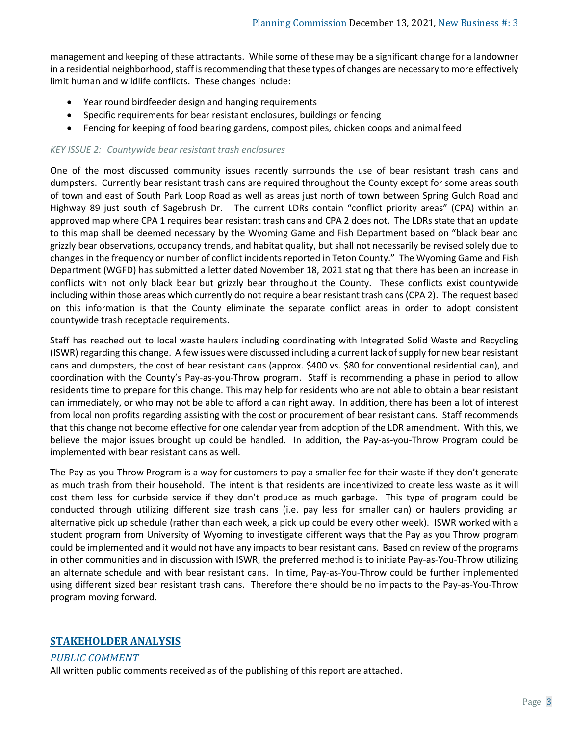management and keeping of these attractants. While some of these may be a significant change for a landowner in a residential neighborhood, staff is recommending that these types of changes are necessary to more effectively limit human and wildlife conflicts. These changes include:

- Year round birdfeeder design and hanging requirements
- Specific requirements for bear resistant enclosures, buildings or fencing
- Fencing for keeping of food bearing gardens, compost piles, chicken coops and animal feed

#### *KEY ISSUE 2: Countywide bear resistant trash enclosures*

One of the most discussed community issues recently surrounds the use of bear resistant trash cans and dumpsters. Currently bear resistant trash cans are required throughout the County except for some areas south of town and east of South Park Loop Road as well as areas just north of town between Spring Gulch Road and Highway 89 just south of Sagebrush Dr. The current LDRs contain "conflict priority areas" (CPA) within an approved map where CPA 1 requires bear resistant trash cans and CPA 2 does not. The LDRs state that an update to this map shall be deemed necessary by the Wyoming Game and Fish Department based on "black bear and grizzly bear observations, occupancy trends, and habitat quality, but shall not necessarily be revised solely due to changes in the frequency or number of conflict incidents reported in Teton County." The Wyoming Game and Fish Department (WGFD) has submitted a letter dated November 18, 2021 stating that there has been an increase in conflicts with not only black bear but grizzly bear throughout the County. These conflicts exist countywide including within those areas which currently do not require a bear resistant trash cans (CPA 2). The request based on this information is that the County eliminate the separate conflict areas in order to adopt consistent countywide trash receptacle requirements.

Staff has reached out to local waste haulers including coordinating with Integrated Solid Waste and Recycling (ISWR) regarding this change. A few issues were discussed including a current lack of supply for new bear resistant cans and dumpsters, the cost of bear resistant cans (approx. \$400 vs. \$80 for conventional residential can), and coordination with the County's Pay-as-you-Throw program. Staff is recommending a phase in period to allow residents time to prepare for this change. This may help for residents who are not able to obtain a bear resistant can immediately, or who may not be able to afford a can right away. In addition, there has been a lot of interest from local non profits regarding assisting with the cost or procurement of bear resistant cans. Staff recommends that this change not become effective for one calendar year from adoption of the LDR amendment. With this, we believe the major issues brought up could be handled. In addition, the Pay-as-you-Throw Program could be implemented with bear resistant cans as well.

The-Pay-as-you-Throw Program is a way for customers to pay a smaller fee for their waste if they don't generate as much trash from their household. The intent is that residents are incentivized to create less waste as it will cost them less for curbside service if they don't produce as much garbage. This type of program could be conducted through utilizing different size trash cans (i.e. pay less for smaller can) or haulers providing an alternative pick up schedule (rather than each week, a pick up could be every other week). ISWR worked with a student program from University of Wyoming to investigate different ways that the Pay as you Throw program could be implemented and it would not have any impacts to bear resistant cans. Based on review of the programs in other communities and in discussion with ISWR, the preferred method is to initiate Pay-as-You-Throw utilizing an alternate schedule and with bear resistant cans. In time, Pay-as-You-Throw could be further implemented using different sized bear resistant trash cans. Therefore there should be no impacts to the Pay-as-You-Throw program moving forward.

## **STAKEHOLDER ANALYSIS**

*PUBLIC COMMENT*

All written public comments received as of the publishing of this report are attached.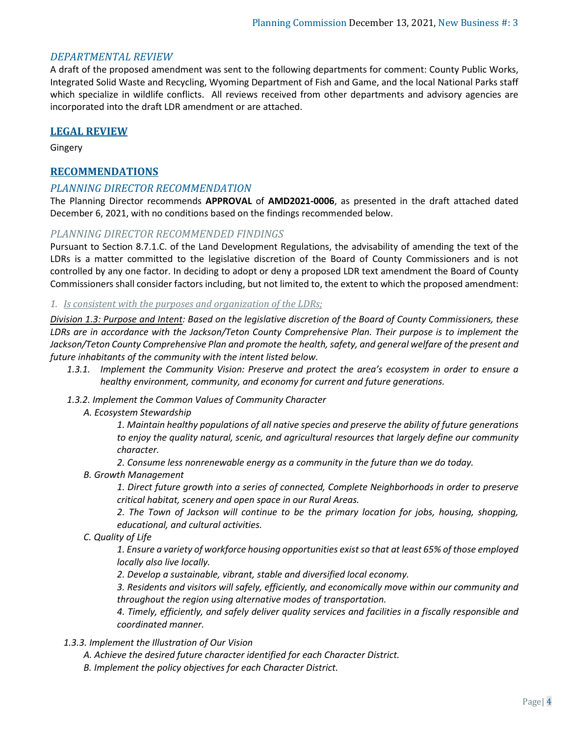### *DEPARTMENTAL REVIEW*

A draft of the proposed amendment was sent to the following departments for comment: County Public Works, Integrated Solid Waste and Recycling, Wyoming Department of Fish and Game, and the local National Parks staff which specialize in wildlife conflicts. All reviews received from other departments and advisory agencies are incorporated into the draft LDR amendment or are attached.

#### **LEGAL REVIEW**

Gingery

### **RECOMMENDATIONS**

#### *PLANNING DIRECTOR RECOMMENDATION*

The Planning Director recommends **APPROVAL** of **AMD2021-0006**, as presented in the draft attached dated December 6, 2021, with no conditions based on the findings recommended below.

#### *PLANNING DIRECTOR RECOMMENDED FINDINGS*

Pursuant to Section 8.7.1.C. of the Land Development Regulations, the advisability of amending the text of the LDRs is a matter committed to the legislative discretion of the Board of County Commissioners and is not controlled by any one factor. In deciding to adopt or deny a proposed LDR text amendment the Board of County Commissioners shall consider factors including, but not limited to, the extent to which the proposed amendment:

#### *1. Is consistent with the purposes and organization of the LDRs;*

*Division 1.3: Purpose and Intent: Based on the legislative discretion of the Board of County Commissioners, these LDRs are in accordance with the Jackson/Teton County Comprehensive Plan. Their purpose is to implement the*  Jackson/Teton County Comprehensive Plan and promote the health, safety, and general welfare of the present and *future inhabitants of the community with the intent listed below.*

- *1.3.1. Implement the Community Vision: Preserve and protect the area's ecosystem in order to ensure a healthy environment, community, and economy for current and future generations.*
- *1.3.2. Implement the Common Values of Community Character* 
	- *A. Ecosystem Stewardship*

*1. Maintain healthy populations of all native species and preserve the ability of future generations to enjoy the quality natural, scenic, and agricultural resources that largely define our community character.* 

*2. Consume less nonrenewable energy as a community in the future than we do today.* 

*B. Growth Management* 

*1. Direct future growth into a series of connected, Complete Neighborhoods in order to preserve critical habitat, scenery and open space in our Rural Areas.* 

*2. The Town of Jackson will continue to be the primary location for jobs, housing, shopping, educational, and cultural activities.* 

*C. Quality of Life* 

*1. Ensure a variety of workforce housing opportunities exist so that at least 65% of those employed locally also live locally.* 

*2. Develop a sustainable, vibrant, stable and diversified local economy.*

*3. Residents and visitors will safely, efficiently, and economically move within our community and throughout the region using alternative modes of transportation.* 

*4. Timely, efficiently, and safely deliver quality services and facilities in a fiscally responsible and coordinated manner.*

#### *1.3.3. Implement the Illustration of Our Vision*

*A. Achieve the desired future character identified for each Character District.* 

*B. Implement the policy objectives for each Character District.*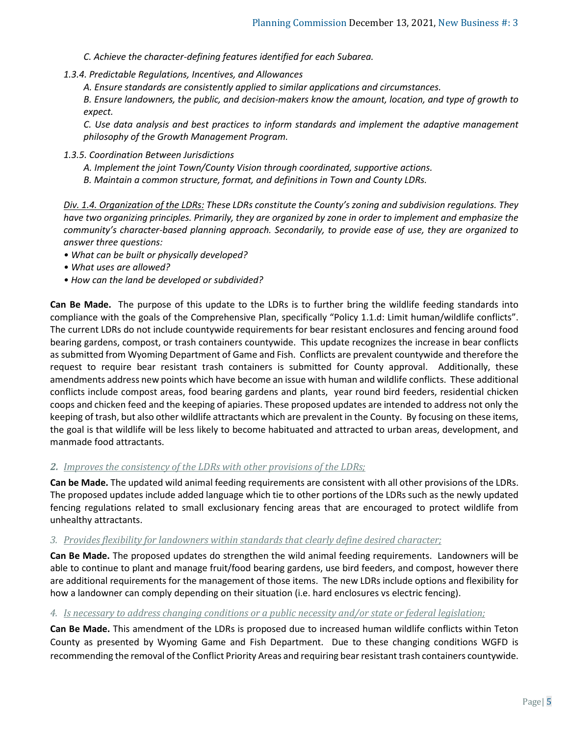- *C. Achieve the character-defining features identified for each Subarea.*
- *1.3.4. Predictable Regulations, Incentives, and Allowances* 
	- *A. Ensure standards are consistently applied to similar applications and circumstances.*

*B. Ensure landowners, the public, and decision-makers know the amount, location, and type of growth to expect.* 

*C. Use data analysis and best practices to inform standards and implement the adaptive management philosophy of the Growth Management Program.* 

- *1.3.5. Coordination Between Jurisdictions* 
	- *A. Implement the joint Town/County Vision through coordinated, supportive actions.*
	- *B. Maintain a common structure, format, and definitions in Town and County LDRs.*

*Div. 1.4. Organization of the LDRs: These LDRs constitute the County's zoning and subdivision regulations. They have two organizing principles. Primarily, they are organized by zone in order to implement and emphasize the community's character-based planning approach. Secondarily, to provide ease of use, they are organized to answer three questions:* 

- *What can be built or physically developed?*
- *What uses are allowed?*
- *How can the land be developed or subdivided?*

**Can Be Made.** The purpose of this update to the LDRs is to further bring the wildlife feeding standards into compliance with the goals of the Comprehensive Plan, specifically "Policy 1.1.d: Limit human/wildlife conflicts". The current LDRs do not include countywide requirements for bear resistant enclosures and fencing around food bearing gardens, compost, or trash containers countywide. This update recognizes the increase in bear conflicts as submitted from Wyoming Department of Game and Fish. Conflicts are prevalent countywide and therefore the request to require bear resistant trash containers is submitted for County approval. Additionally, these amendments address new points which have become an issue with human and wildlife conflicts. These additional conflicts include compost areas, food bearing gardens and plants, year round bird feeders, residential chicken coops and chicken feed and the keeping of apiaries. These proposed updates are intended to address not only the keeping of trash, but also other wildlife attractants which are prevalent in the County. By focusing on these items, the goal is that wildlife will be less likely to become habituated and attracted to urban areas, development, and manmade food attractants.

#### *2. Improves the consistency of the LDRs with other provisions of the LDRs;*

**Can be Made.** The updated wild animal feeding requirements are consistent with all other provisions of the LDRs. The proposed updates include added language which tie to other portions of the LDRs such as the newly updated fencing regulations related to small exclusionary fencing areas that are encouraged to protect wildlife from unhealthy attractants.

### *3. Provides flexibility for landowners within standards that clearly define desired character;*

**Can Be Made.** The proposed updates do strengthen the wild animal feeding requirements. Landowners will be able to continue to plant and manage fruit/food bearing gardens, use bird feeders, and compost, however there are additional requirements for the management of those items. The new LDRs include options and flexibility for how a landowner can comply depending on their situation (i.e. hard enclosures vs electric fencing).

#### *4. Is necessary to address changing conditions or a public necessity and/or state or federal legislation;*

**Can Be Made.** This amendment of the LDRs is proposed due to increased human wildlife conflicts within Teton County as presented by Wyoming Game and Fish Department. Due to these changing conditions WGFD is recommending the removal of the Conflict Priority Areas and requiring bear resistant trash containers countywide.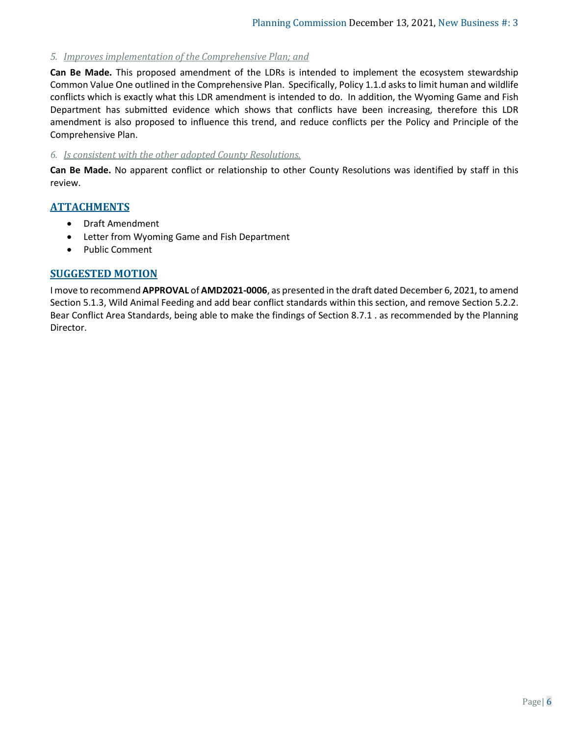## *5. Improves implementation of the Comprehensive Plan; and*

**Can Be Made.** This proposed amendment of the LDRs is intended to implement the ecosystem stewardship Common Value One outlined in the Comprehensive Plan. Specifically, Policy 1.1.d asks to limit human and wildlife conflicts which is exactly what this LDR amendment is intended to do. In addition, the Wyoming Game and Fish Department has submitted evidence which shows that conflicts have been increasing, therefore this LDR amendment is also proposed to influence this trend, and reduce conflicts per the Policy and Principle of the Comprehensive Plan.

#### *6. Is consistent with the other adopted County Resolutions.*

**Can Be Made.** No apparent conflict or relationship to other County Resolutions was identified by staff in this review.

## **ATTACHMENTS**

- Draft Amendment
- Letter from Wyoming Game and Fish Department
- Public Comment

## **SUGGESTED MOTION**

I move to recommend **APPROVAL** of **AMD2021-0006**, as presented in the draft dated December 6, 2021, to amend Section 5.1.3, Wild Animal Feeding and add bear conflict standards within this section, and remove Section 5.2.2. Bear Conflict Area Standards, being able to make the findings of Section 8.7.1 . as recommended by the Planning Director.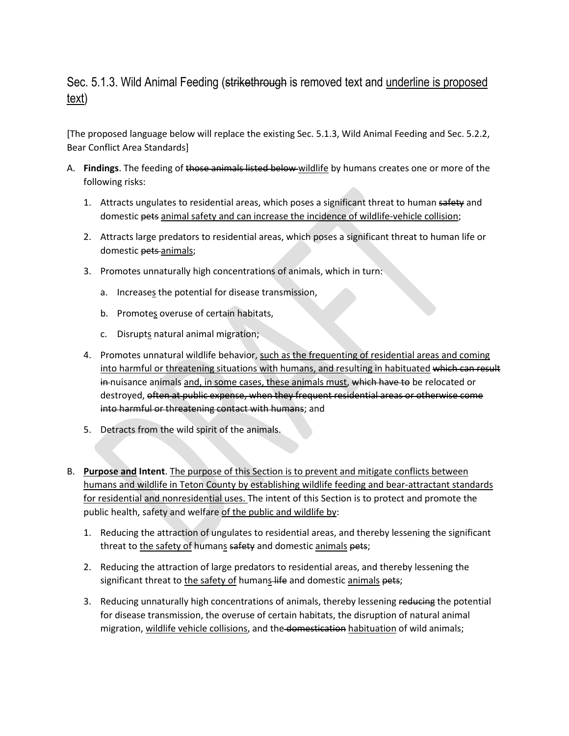# Sec. 5.1.3. Wild Animal Feeding (strikethrough is removed text and underline is proposed text)

[The proposed language below will replace the existing Sec. 5.1.3, Wild Animal Feeding and Sec. 5.2.2, Bear Conflict Area Standards]

- A. **Findings**. The feeding of those animals listed below wildlife by humans creates one or more of the following risks:
	- 1. Attracts ungulates to residential areas, which poses a significant threat to human safety and domestic pets animal safety and can increase the incidence of wildlife-vehicle collision;
	- 2. Attracts large predators to residential areas, which poses a significant threat to human life or domestic pets animals;
	- 3. Promotes unnaturally high concentrations of animals, which in turn:
		- a. Increases the potential for disease transmission,
		- b. Promotes overuse of certain habitats,
		- c. Disrupts natural animal migration;
	- 4. Promotes unnatural wildlife behavior, such as the frequenting of residential areas and coming into harmful or threatening situations with humans, and resulting in habituated which can result in nuisance animals and, in some cases, these animals must, which have to be relocated or destroyed, often at public expense, when they frequent residential areas or otherwise come into harmful or threatening contact with humans; and
	- 5. Detracts from the wild spirit of the animals.
- B. **Purpose and Intent**. The purpose of this Section is to prevent and mitigate conflicts between humans and wildlife in Teton County by establishing wildlife feeding and bear-attractant standards for residential and nonresidential uses. The intent of this Section is to protect and promote the public health, safety and welfare of the public and wildlife by:
	- 1. Reducing the attraction of ungulates to residential areas, and thereby lessening the significant threat to the safety of humans safety and domestic animals pets;
	- 2. Reducing the attraction of large predators to residential areas, and thereby lessening the significant threat to the safety of humans life and domestic animals pets;
	- 3. Reducing unnaturally high concentrations of animals, thereby lessening reducing the potential for disease transmission, the overuse of certain habitats, the disruption of natural animal migration, wildlife vehicle collisions, and the domestication habituation of wild animals;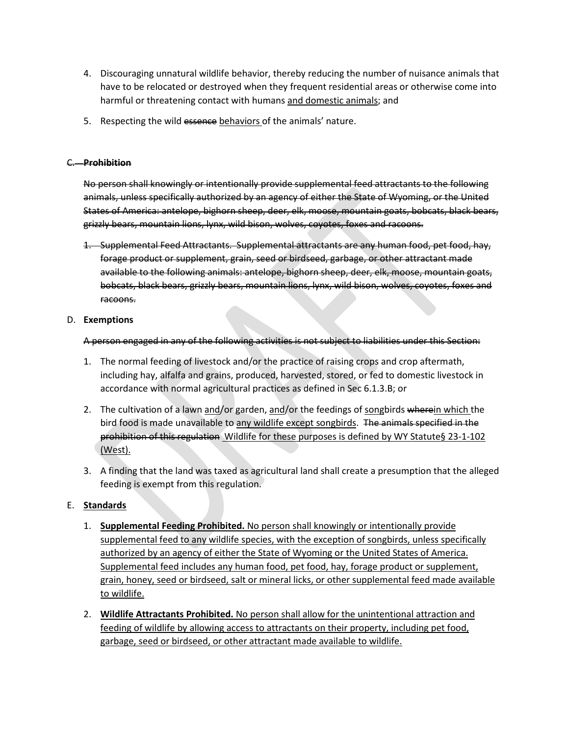- 4. Discouraging unnatural wildlife behavior, thereby reducing the number of nuisance animals that have to be relocated or destroyed when they frequent residential areas or otherwise come into harmful or threatening contact with humans and domestic animals; and
- 5. Respecting the wild essence behaviors of the animals' nature.

#### C. **Prohibition**

No person shall knowingly or intentionally provide supplemental feed attractants to the following animals, unless specifically authorized by an agency of either the State of Wyoming, or the United States of America: antelope, bighorn sheep, deer, elk, moose, mountain goats, bobcats, black bears, grizzly bears, mountain lions, lynx, wild bison, wolves, coyotes, foxes and racoons.

1. Supplemental Feed Attractants. Supplemental attractants are any human food, pet food, hay, forage product or supplement, grain, seed or birdseed, garbage, or other attractant made available to the following animals: antelope, bighorn sheep, deer, elk, moose, mountain goats, bobcats, black bears, grizzly bears, mountain lions, lynx, wild bison, wolves, coyotes, foxes and racoons.

#### D. **Exemptions**

A person engaged in any of the following activities is not subject to liabilities under this Section:

- 1. The normal feeding of livestock and/or the practice of raising crops and crop aftermath, including hay, alfalfa and grains, produced, harvested, stored, or fed to domestic livestock in accordance with normal agricultural practices as defined in Sec 6.1.3.B; or
- 2. The cultivation of a lawn and/or garden, and/or the feedings of songbirds wherein which the bird food is made unavailable to any wildlife except songbirds. The animals specified in the prohibition of this regulation Wildlife for these purposes is defined by WY Statute§ 23-1-102 (West).
- 3. A finding that the land was taxed as agricultural land shall create a presumption that the alleged feeding is exempt from this regulation.

#### E. **Standards**

- 1. **Supplemental Feeding Prohibited.** No person shall knowingly or intentionally provide supplemental feed to any wildlife species, with the exception of songbirds, unless specifically authorized by an agency of either the State of Wyoming or the United States of America. Supplemental feed includes any human food, pet food, hay, forage product or supplement, grain, honey, seed or birdseed, salt or mineral licks, or other supplemental feed made available to wildlife.
- 2. **Wildlife Attractants Prohibited.** No person shall allow for the unintentional attraction and feeding of wildlife by allowing access to attractants on their property, including pet food, garbage, seed or birdseed, or other attractant made available to wildlife.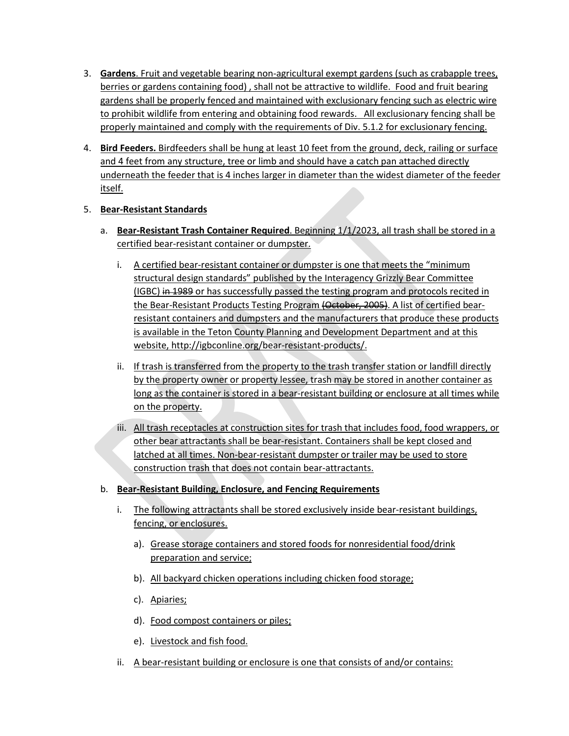- 3. **Gardens**. Fruit and vegetable bearing non-agricultural exempt gardens (such as crabapple trees, berries or gardens containing food), shall not be attractive to wildlife. Food and fruit bearing gardens shall be properly fenced and maintained with exclusionary fencing such as electric wire to prohibit wildlife from entering and obtaining food rewards. All exclusionary fencing shall be properly maintained and comply with the requirements of Div. 5.1.2 for exclusionary fencing.
- 4. **Bird Feeders.** Birdfeeders shall be hung at least 10 feet from the ground, deck, railing or surface and 4 feet from any structure, tree or limb and should have a catch pan attached directly underneath the feeder that is 4 inches larger in diameter than the widest diameter of the feeder itself.

# 5. **Bear-Resistant Standards**

- a. **Bear-Resistant Trash Container Required**. Beginning 1/1/2023, all trash shall be stored in a certified bear-resistant container or dumpster.
	- i. A certified bear-resistant container or dumpster is one that meets the "minimum structural design standards" published by the Interagency Grizzly Bear Committee (IGBC) in 1989 or has successfully passed the testing program and protocols recited in the Bear-Resistant Products Testing Program (October, 2005). A list of certified bearresistant containers and dumpsters and the manufacturers that produce these products is available in the Teton County Planning and Development Department and at this website, http://igbconline.org/bear-resistant-products/.
	- ii. If trash is transferred from the property to the trash transfer station or landfill directly by the property owner or property lessee, trash may be stored in another container as long as the container is stored in a bear-resistant building or enclosure at all times while on the property.
	- iii. All trash receptacles at construction sites for trash that includes food, food wrappers, or other bear attractants shall be bear-resistant. Containers shall be kept closed and latched at all times. Non-bear-resistant dumpster or trailer may be used to store construction trash that does not contain bear-attractants.

# b. **Bear-Resistant Building, Enclosure, and Fencing Requirements**

- i. The following attractants shall be stored exclusively inside bear-resistant buildings, fencing, or enclosures.
	- a). Grease storage containers and stored foods for nonresidential food/drink preparation and service;
	- b). All backyard chicken operations including chicken food storage;
	- c). Apiaries;
	- d). Food compost containers or piles;
	- e). Livestock and fish food.
- ii. A bear-resistant building or enclosure is one that consists of and/or contains: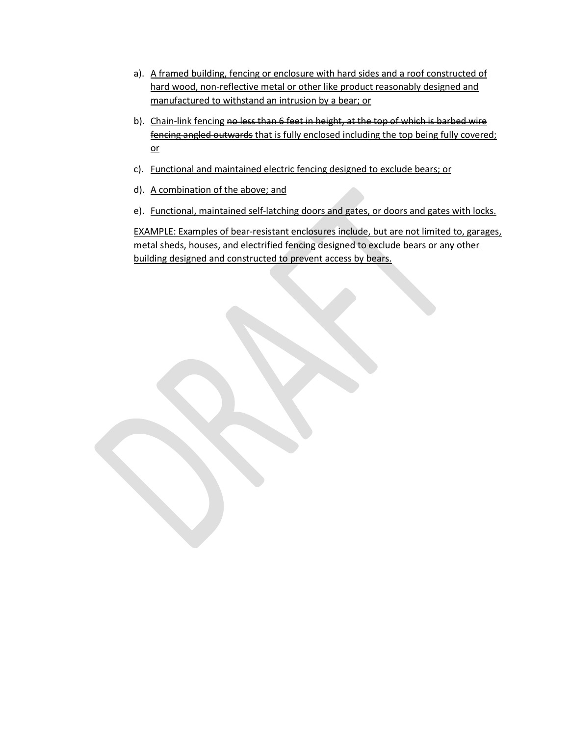- a). A framed building, fencing or enclosure with hard sides and a roof constructed of hard wood, non-reflective metal or other like product reasonably designed and manufactured to withstand an intrusion by a bear; or
- b). Chain-link fencing no less than 6 feet in height, at the top of which is barbed wire fencing angled outwards that is fully enclosed including the top being fully covered; or
- c). Functional and maintained electric fencing designed to exclude bears; or
- d). A combination of the above; and
- e). Functional, maintained self-latching doors and gates, or doors and gates with locks.

EXAMPLE: Examples of bear-resistant enclosures include, but are not limited to, garages, metal sheds, houses, and electrified fencing designed to exclude bears or any other building designed and constructed to prevent access by bears.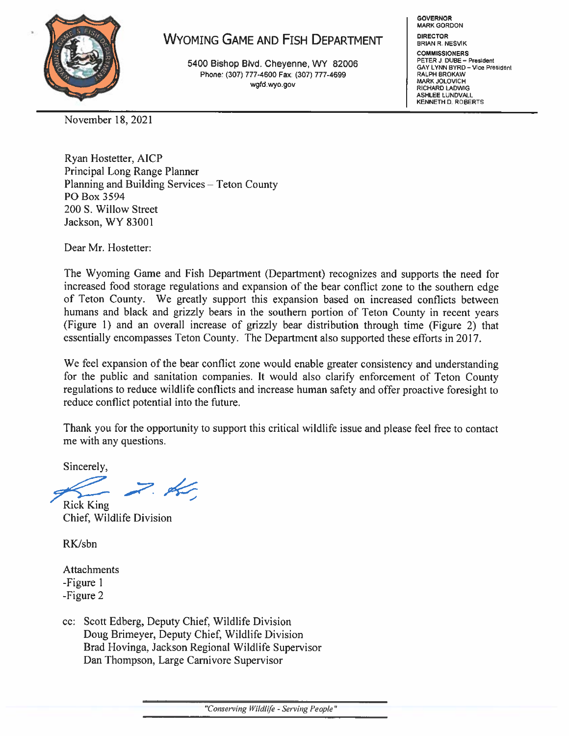

# **WYOMING GAME AND FISH DEPARTMENT**

5400 Bishop Blvd. Chevenne, WY 82006 Phone: (307) 777-4600 Fax: (307) 777-4699 wgfd.wyo.gov

**GOVERNOR MARK GORDON DIRECTOR BRIAN R. NESVIK COMMISSIONERS** 

PETER J. DUBE - President<br>GAY LYNN BYRD - Vice President **RALPH BROKAW** MARK JOLOVICH RICHARD LADWIG ASHLEE LUNDVALL KENNETH D. ROBERTS

November 18, 2021

Ryan Hostetter, AICP Principal Long Range Planner Planning and Building Services - Teton County PO Box 3594 200 S. Willow Street Jackson, WY 83001

Dear Mr. Hostetter:

The Wyoming Game and Fish Department (Department) recognizes and supports the need for increased food storage regulations and expansion of the bear conflict zone to the southern edge of Teton County. We greatly support this expansion based on increased conflicts between humans and black and grizzly bears in the southern portion of Teton County in recent years (Figure 1) and an overall increase of grizzly bear distribution through time (Figure 2) that essentially encompasses Teton County. The Department also supported these efforts in 2017.

We feel expansion of the bear conflict zone would enable greater consistency and understanding for the public and sanitation companies. It would also clarify enforcement of Teton County regulations to reduce wildlife conflicts and increase human safety and offer proactive foresight to reduce conflict potential into the future.

Thank you for the opportunity to support this critical wildlife issue and please feel free to contact me with any questions.

Sincerely,

 $\not\prec$ 

**Rick King** Chief, Wildlife Division

RK/sbn

Attachments -Figure 1 -Figure 2

cc: Scott Edberg, Deputy Chief, Wildlife Division Doug Brimeyer, Deputy Chief, Wildlife Division Brad Hovinga, Jackson Regional Wildlife Supervisor Dan Thompson, Large Carnivore Supervisor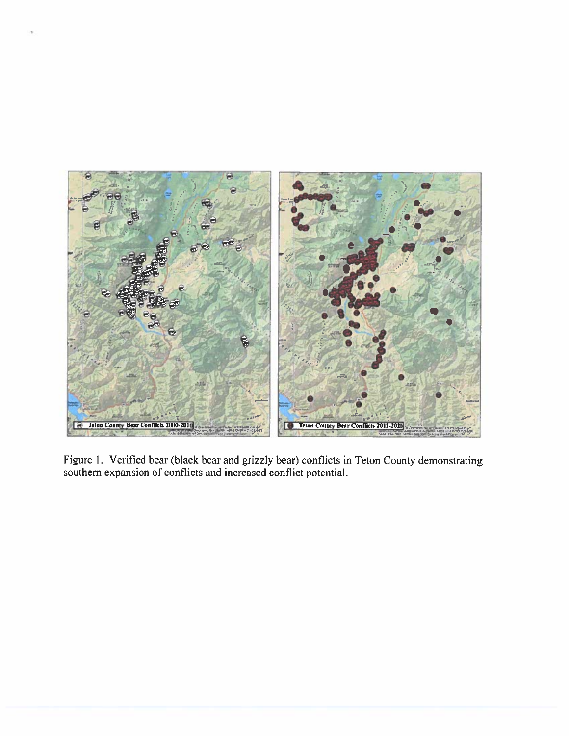

Figure 1. Verified bear (black bear and grizzly bear) conflicts in Teton County demonstrating southern expansion of conflicts and increased conflict potential.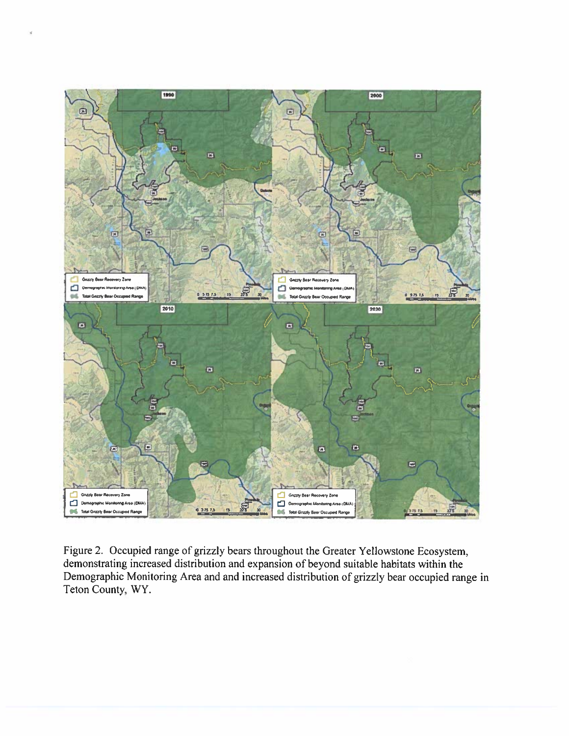

Figure 2. Occupied range of grizzly bears throughout the Greater Yellowstone Ecosystem, demonstrating increased distribution and expansion of beyond suitable habitats within the Demographic Monitoring Area and and increased distribution of grizzly bear occupied range in Teton County, WY.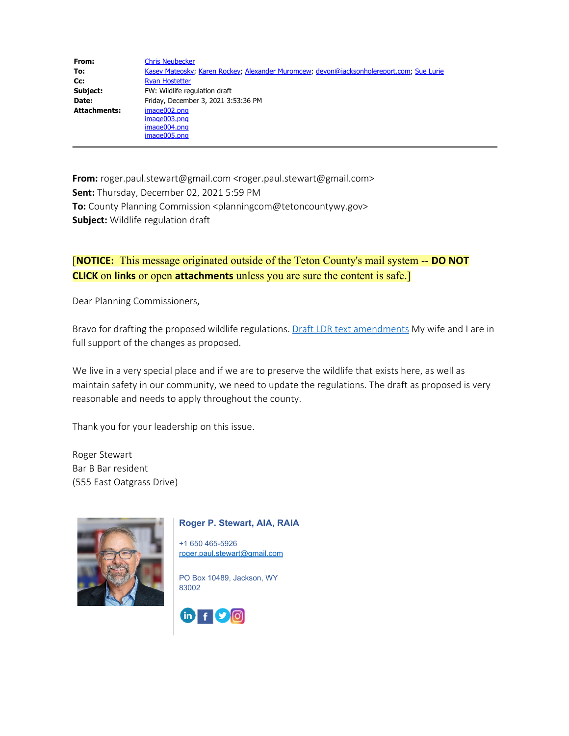| From:               | <b>Chris Neubecker</b>                                                                   |
|---------------------|------------------------------------------------------------------------------------------|
| To:                 | Kasey Mateosky; Karen Rockey; Alexander Muromcew; devon@jacksonholereport.com; Sue Lurie |
| Cc:                 | <b>Ryan Hostetter</b>                                                                    |
| Subject:            | FW: Wildlife regulation draft                                                            |
| Date:               | Friday, December 3, 2021 3:53:36 PM                                                      |
| <b>Attachments:</b> | image002.png                                                                             |
|                     | image003.png                                                                             |
|                     | image004.png                                                                             |
|                     | image005.png                                                                             |

**From:** roger.paul.stewart@gmail.com <roger.paul.stewart@gmail.com> **Sent:** Thursday, December 02, 2021 5:59 PM **To:** County Planning Commission <planningcom@tetoncountywy.gov> **Subject:** Wildlife regulation draft

# [**NOTICE:** This message originated outside of the Teton County's mail system -- **DO NOT CLICK** on **links** or open **attachments** unless you are sure the content is safe.]

Dear Planning Commissioners,

Bravo for drafting the proposed wildlife regulations. [Draft LDR text amendments](https://gcc02.safelinks.protection.outlook.com/?url=http%3A%2F%2Fjacksontetonplan.com%2FDocumentCenter%2FView%2F1834%2FFeeding-Draft-LDR-for-Public-Review-111021%3Ffbclid%3DIwAR17imoy6ZX48-agjco17ELqxpJyshDZYyRIjxTGg6IFHmagZl6xF54jWOM&data=04%7C01%7CKatharine_Wilmot%40nps.gov%7C97a60c0bbcc840456d8608d9b39179bd%7C0693b5ba4b184d7b9341f32f400a5494%7C0%7C0%7C637738259662011068%7CUnknown%7CTWFpbGZsb3d8eyJWIjoiMC4wLjAwMDAiLCJQIjoiV2luMzIiLCJBTiI6Ik1haWwiLCJXVCI6Mn0%3D%7C3000&sdata=8DWWhOnht05ykNGd0iYDx%2BGOUov4uHFegLjGq53PF%2BA%3D&reserved=0) My wife and I are in full support of the changes as proposed.

We live in a very special place and if we are to preserve the wildlife that exists here, as well as maintain safety in our community, we need to update the regulations. The draft as proposed is very reasonable and needs to apply throughout the county.

Thank you for your leadership on this issue.

Roger Stewart Bar B Bar resident (555 East Oatgrass Drive)



#### **Roger P. Stewart, AIA, RAIA**

+1 650 465-5926 [roger.paul.stewart@gmail.com](mailto:roger.paul.stewart@gmail.com)

PO Box 10489, Jackson, WY 83002